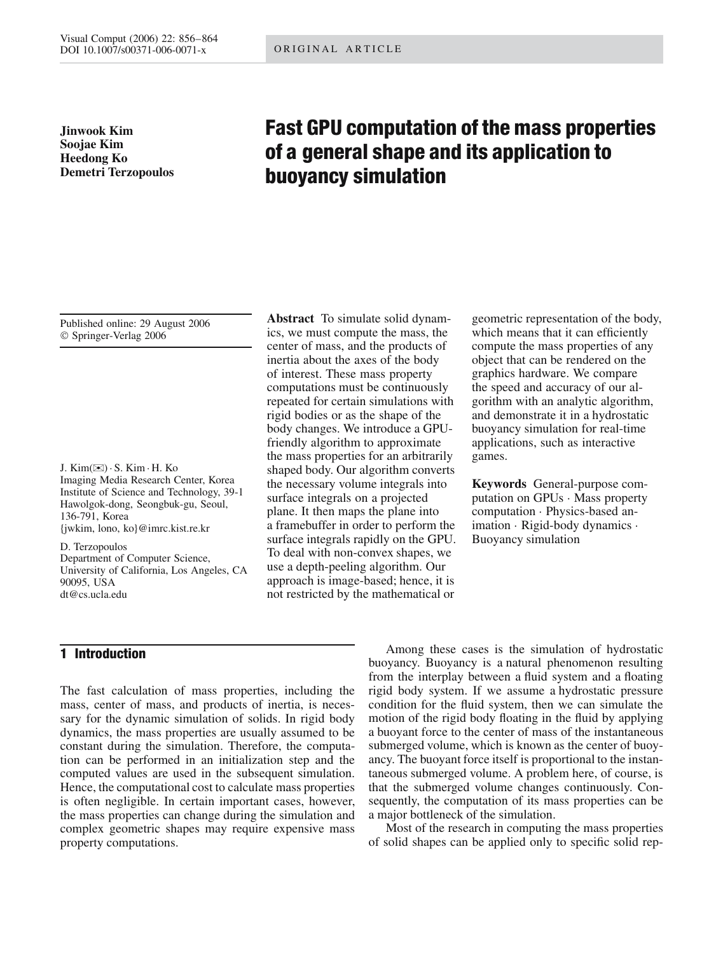**Jinwook Kim Soojae Kim Heedong Ko Demetri Terzopoulos**

# **Fast GPU computation of the mass properties of a general shape and its application to buoyancy simulation**

Published online: 29 August 2006 © Springer-Verlag 2006

J. Kim(✉)· S. Kim· H. Ko Imaging Media Research Center, Korea Institute of Science and Technology, 39-1 Hawolgok-dong, Seongbuk-gu, Seoul, 136-791, Korea {jwkim, lono, ko}@imrc.kist.re.kr

D. Terzopoulos Department of Computer Science, University of California, Los Angeles, CA 90095, USA dt@cs.ucla.edu

**Abstract** To simulate solid dynamics, we must compute the mass, the center of mass, and the products of inertia about the axes of the body of interest. These mass property computations must be continuously repeated for certain simulations with rigid bodies or as the shape of the body changes. We introduce a GPUfriendly algorithm to approximate the mass properties for an arbitrarily shaped body. Our algorithm converts the necessary volume integrals into surface integrals on a projected plane. It then maps the plane into a framebuffer in order to perform the surface integrals rapidly on the GPU. To deal with non-convex shapes, we use a depth-peeling algorithm. Our approach is image-based; hence, it is not restricted by the mathematical or

geometric representation of the body, which means that it can efficiently compute the mass properties of any object that can be rendered on the graphics hardware. We compare the speed and accuracy of our algorithm with an analytic algorithm, and demonstrate it in a hydrostatic buoyancy simulation for real-time applications, such as interactive games.

**Keywords** General-purpose computation on GPUs · Mass property computation · Physics-based animation · Rigid-body dynamics · Buoyancy simulation

# **1 Introduction**

The fast calculation of mass properties, including the mass, center of mass, and products of inertia, is necessary for the dynamic simulation of solids. In rigid body dynamics, the mass properties are usually assumed to be constant during the simulation. Therefore, the computation can be performed in an initialization step and the computed values are used in the subsequent simulation. Hence, the computational cost to calculate mass properties is often negligible. In certain important cases, however, the mass properties can change during the simulation and complex geometric shapes may require expensive mass property computations.

Among these cases is the simulation of hydrostatic buoyancy. Buoyancy is a natural phenomenon resulting from the interplay between a fluid system and a floating rigid body system. If we assume a hydrostatic pressure condition for the fluid system, then we can simulate the motion of the rigid body floating in the fluid by applying a buoyant force to the center of mass of the instantaneous submerged volume, which is known as the center of buoyancy. The buoyant force itself is proportional to the instantaneous submerged volume. A problem here, of course, is that the submerged volume changes continuously. Consequently, the computation of its mass properties can be a major bottleneck of the simulation.

Most of the research in computing the mass properties of solid shapes can be applied only to specific solid rep-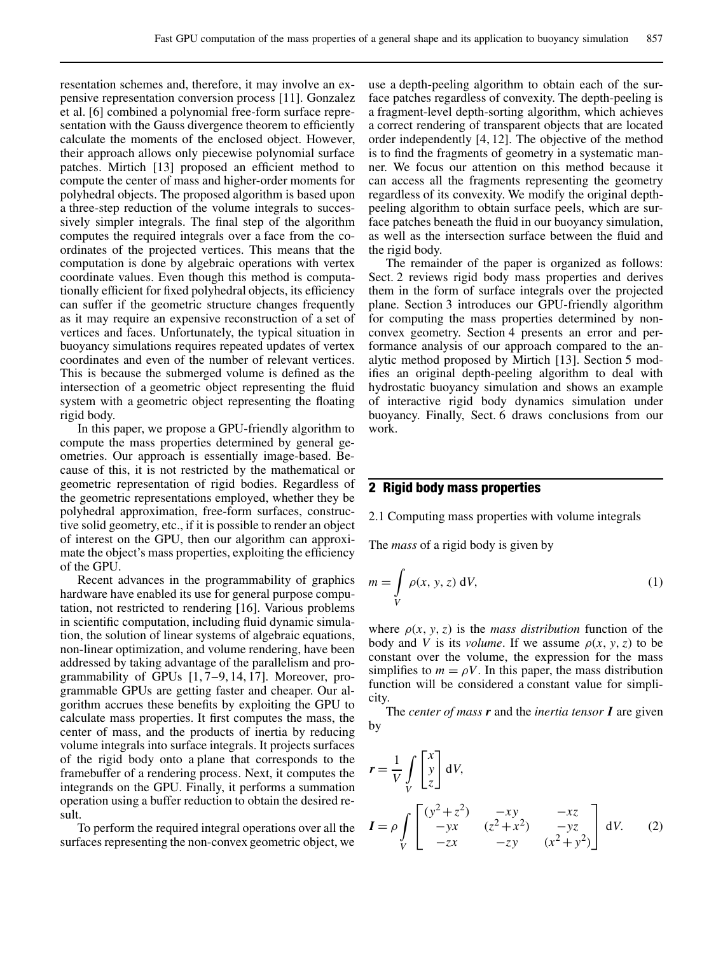resentation schemes and, therefore, it may involve an expensive representation conversion process [11]. Gonzalez et al. [6] combined a polynomial free-form surface representation with the Gauss divergence theorem to efficiently calculate the moments of the enclosed object. However, their approach allows only piecewise polynomial surface patches. Mirtich [13] proposed an efficient method to compute the center of mass and higher-order moments for polyhedral objects. The proposed algorithm is based upon a three-step reduction of the volume integrals to successively simpler integrals. The final step of the algorithm computes the required integrals over a face from the coordinates of the projected vertices. This means that the computation is done by algebraic operations with vertex coordinate values. Even though this method is computationally efficient for fixed polyhedral objects, its efficiency can suffer if the geometric structure changes frequently as it may require an expensive reconstruction of a set of vertices and faces. Unfortunately, the typical situation in buoyancy simulations requires repeated updates of vertex coordinates and even of the number of relevant vertices. This is because the submerged volume is defined as the intersection of a geometric object representing the fluid system with a geometric object representing the floating rigid body.

In this paper, we propose a GPU-friendly algorithm to compute the mass properties determined by general geometries. Our approach is essentially image-based. Because of this, it is not restricted by the mathematical or geometric representation of rigid bodies. Regardless of the geometric representations employed, whether they be polyhedral approximation, free-form surfaces, constructive solid geometry, etc., if it is possible to render an object of interest on the GPU, then our algorithm can approximate the object's mass properties, exploiting the efficiency of the GPU.

Recent advances in the programmability of graphics hardware have enabled its use for general purpose computation, not restricted to rendering [16]. Various problems in scientific computation, including fluid dynamic simulation, the solution of linear systems of algebraic equations, non-linear optimization, and volume rendering, have been addressed by taking advantage of the parallelism and programmability of GPUs [1, 7–9, 14, 17]. Moreover, programmable GPUs are getting faster and cheaper. Our algorithm accrues these benefits by exploiting the GPU to calculate mass properties. It first computes the mass, the center of mass, and the products of inertia by reducing volume integrals into surface integrals. It projects surfaces of the rigid body onto a plane that corresponds to the framebuffer of a rendering process. Next, it computes the integrands on the GPU. Finally, it performs a summation operation using a buffer reduction to obtain the desired result.

To perform the required integral operations over all the surfaces representing the non-convex geometric object, we use a depth-peeling algorithm to obtain each of the surface patches regardless of convexity. The depth-peeling is a fragment-level depth-sorting algorithm, which achieves a correct rendering of transparent objects that are located order independently [4, 12]. The objective of the method is to find the fragments of geometry in a systematic manner. We focus our attention on this method because it can access all the fragments representing the geometry regardless of its convexity. We modify the original depthpeeling algorithm to obtain surface peels, which are surface patches beneath the fluid in our buoyancy simulation, as well as the intersection surface between the fluid and the rigid body.

The remainder of the paper is organized as follows: Sect. 2 reviews rigid body mass properties and derives them in the form of surface integrals over the projected plane. Section 3 introduces our GPU-friendly algorithm for computing the mass properties determined by nonconvex geometry. Section 4 presents an error and performance analysis of our approach compared to the analytic method proposed by Mirtich [13]. Section 5 modifies an original depth-peeling algorithm to deal with hydrostatic buoyancy simulation and shows an example of interactive rigid body dynamics simulation under buoyancy. Finally, Sect. 6 draws conclusions from our work.

### **2 Rigid body mass properties**

2.1 Computing mass properties with volume integrals

The *mass* of a rigid body is given by

$$
m = \int\limits_V \rho(x, y, z) \, dV,\tag{1}
$$

where  $\rho(x, y, z)$  is the *mass distribution* function of the body and *V* is its *volume*. If we assume  $\rho(x, y, z)$  to be constant over the volume, the expression for the mass simplifies to  $m = \rho V$ . In this paper, the mass distribution function will be considered a constant value for simplicity.

The *center of mass r* and the *inertia tensor I* are given by

$$
\mathbf{r} = \frac{1}{V} \int_{V} \begin{bmatrix} x \\ y \\ z \end{bmatrix} dV,
$$
  
\n
$$
\mathbf{I} = \rho \int_{V} \begin{bmatrix} (y^2 + z^2) & -xy & -xz \\ -yx & (z^2 + x^2) & -yz \\ -zx & -zy & (x^2 + y^2) \end{bmatrix} dV.
$$
 (2)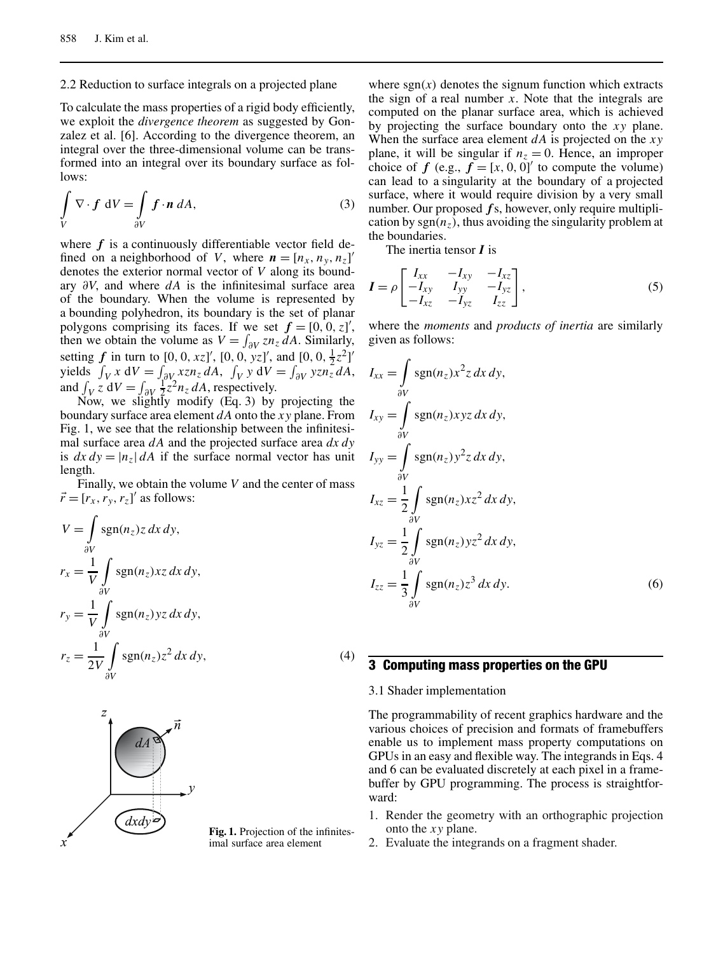### 2.2 Reduction to surface integrals on a projected plane

To calculate the mass properties of a rigid body efficiently, we exploit the *divergence theorem* as suggested by Gonzalez et al. [6]. According to the divergence theorem, an integral over the three-dimensional volume can be transformed into an integral over its boundary surface as follows:

$$
\int\limits_V \nabla \cdot f \, dV = \int\limits_{\partial V} f \cdot \mathbf{n} \, dA,\tag{3}
$$

where f is a continuously differentiable vector field defined on a neighborhood of *V*, where  $\mathbf{n} = [n_x, n_y, n_z]$ denotes the exterior normal vector of *V* along its boundary ∂*V*, and where *dA* is the infinitesimal surface area of the boundary. When the volume is represented by a bounding polyhedron, its boundary is the set of planar polygons comprising its faces. If we set  $f = [0, 0, z]$ , then we obtain the volume as  $V = \int_{\partial V} z n_z dA$ . Similarly, setting  $f$  in turn to  $[0, 0, xz]'$ ,  $[0, 0, yz]'$ , and  $[0, 0, \frac{1}{2}z^2]'$ <br>yields  $\int_V x \ dV = \int_{\partial V} xzn_z dA$ ,  $\int_V y \ dV = \int_{\partial V} yzn_z dA$ , and  $\int_V z \ dV = \int_{\partial V} \frac{1}{2} z^2 n_z dA$ , respectively.

Now, we slightly modify  $(Eq. 3)$  by projecting the boundary surface area element *dA* onto the *xy* plane. From Fig. 1, we see that the relationship between the infinitesimal surface area *dA* and the projected surface area *dx dy* is  $dx dy = |n_z| dA$  if the surface normal vector has unit length.

Finally, we obtain the volume *V* and the center of mass  $\vec{r} = [r_x, r_y, r_z]'$  as follows:

$$
V = \int_{\partial V} \text{sgn}(n_z) z \, dx \, dy,
$$
  
\n
$$
r_x = \frac{1}{V} \int_{\partial V} \text{sgn}(n_z) xz \, dx \, dy,
$$
  
\n
$$
r_y = \frac{1}{V} \int_{\partial V} \text{sgn}(n_z) yz \, dx \, dy,
$$
  
\n
$$
r_z = \frac{1}{2V} \int_{\partial V} \text{sgn}(n_z) z^2 \, dx \, dy,
$$
  
\n(4)



**Fig. 1.** Projection of the infinitesimal surface area element

where  $sgn(x)$  denotes the signum function which extracts the sign of a real number *x*. Note that the integrals are computed on the planar surface area, which is achieved by projecting the surface boundary onto the *xy* plane. When the surface area element *dA* is projected on the *xy* plane, it will be singular if  $n_z = 0$ . Hence, an improper choice of  $f$  (e.g.,  $f = [x, 0, 0]$  to compute the volume) can lead to a singularity at the boundary of a projected surface, where it would require division by a very small number. Our proposed *f*s, however, only require multiplication by  $sgn(n_z)$ , thus avoiding the singularity problem at the boundaries.

The inertia tensor *I* is

$$
I = \rho \begin{bmatrix} I_{xx} & -I_{xy} & -I_{xz} \\ -I_{xy} & I_{yy} & -I_{yz} \\ -I_{xz} & -I_{yz} & I_{zz} \end{bmatrix},
$$
 (5)

where the *moments* and *products of inertia* are similarly given as follows:

$$
I_{xx} = \int_{\partial V} \text{sgn}(n_z) x^2 z \, dx \, dy,
$$
  
\n
$$
I_{xy} = \int_{\partial V} \text{sgn}(n_z) xyz \, dx \, dy,
$$
  
\n
$$
I_{yy} = \int_{\partial V} \text{sgn}(n_z) y^2 z \, dx \, dy,
$$
  
\n
$$
I_{xz} = \frac{1}{2} \int_{\partial V} \text{sgn}(n_z) x z^2 \, dx \, dy,
$$
  
\n
$$
I_{yz} = \frac{1}{2} \int_{\partial V} \text{sgn}(n_z) y z^2 \, dx \, dy,
$$
  
\n
$$
I_{zz} = \frac{1}{3} \int_{\partial V} \text{sgn}(n_z) z^3 \, dx \, dy.
$$
  
\n(6)

### **3 Computing mass properties on the GPU**

### 3.1 Shader implementation

The programmability of recent graphics hardware and the various choices of precision and formats of framebuffers enable us to implement mass property computations on GPUs in an easy and flexible way. The integrands in Eqs. 4 and 6 can be evaluated discretely at each pixel in a framebuffer by GPU programming. The process is straightforward:

- 1. Render the geometry with an orthographic projection onto the *xy* plane.
- 2. Evaluate the integrands on a fragment shader.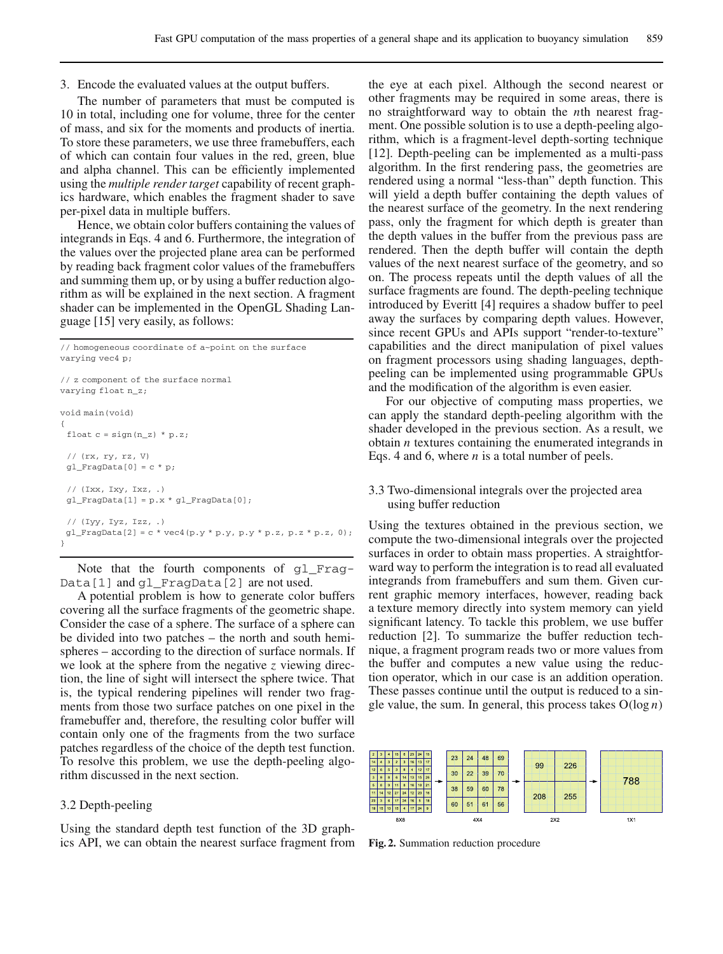3. Encode the evaluated values at the output buffers.

The number of parameters that must be computed is 10 in total, including one for volume, three for the center of mass, and six for the moments and products of inertia. To store these parameters, we use three framebuffers, each of which can contain four values in the red, green, blue and alpha channel. This can be efficiently implemented using the *multiple render target* capability of recent graphics hardware, which enables the fragment shader to save per-pixel data in multiple buffers.

Hence, we obtain color buffers containing the values of integrands in Eqs. 4 and 6. Furthermore, the integration of the values over the projected plane area can be performed by reading back fragment color values of the framebuffers and summing them up, or by using a buffer reduction algorithm as will be explained in the next section. A fragment shader can be implemented in the OpenGL Shading Language [15] very easily, as follows:

```
// homogeneous coordinate of a~point on the surface
varying vec4 p;
```

```
// z component of the surface normal
varying float n_z;
void main(void)
{
 float c = sign(n_2) * p.z;// (rx, ry, rz, V)
gl_FragData[0] = c * p;// (Ixx, Ixy, Ixz, .)
gl_FragData[1] = p.x * gl_FragData[0];// (Iyy, Iyz, Izz, .)
gl_FragData[2] = c * vec4(p.y * p.y, p.y * p.z, p.z * p.z, 0);}
```
Note that the fourth components of gl\_Frag-Data[1] and gl\_FragData[2] are not used.

A potential problem is how to generate color buffers covering all the surface fragments of the geometric shape. Consider the case of a sphere. The surface of a sphere can be divided into two patches – the north and south hemispheres – according to the direction of surface normals. If we look at the sphere from the negative *z* viewing direction, the line of sight will intersect the sphere twice. That is, the typical rendering pipelines will render two fragments from those two surface patches on one pixel in the framebuffer and, therefore, the resulting color buffer will contain only one of the fragments from the two surface patches regardless of the choice of the depth test function. To resolve this problem, we use the depth-peeling algorithm discussed in the next section.

### 3.2 Depth-peeling

Using the standard depth test function of the 3D graphics API, we can obtain the nearest surface fragment from

the eye at each pixel. Although the second nearest or other fragments may be required in some areas, there is no straightforward way to obtain the *n*th nearest fragment. One possible solution is to use a depth-peeling algorithm, which is a fragment-level depth-sorting technique [12]. Depth-peeling can be implemented as a multi-pass algorithm. In the first rendering pass, the geometries are rendered using a normal "less-than" depth function. This will yield a depth buffer containing the depth values of the nearest surface of the geometry. In the next rendering pass, only the fragment for which depth is greater than the depth values in the buffer from the previous pass are rendered. Then the depth buffer will contain the depth values of the next nearest surface of the geometry, and so on. The process repeats until the depth values of all the surface fragments are found. The depth-peeling technique introduced by Everitt [4] requires a shadow buffer to peel away the surfaces by comparing depth values. However, since recent GPUs and APIs support "render-to-texture" capabilities and the direct manipulation of pixel values on fragment processors using shading languages, depthpeeling can be implemented using programmable GPUs and the modification of the algorithm is even easier.

For our objective of computing mass properties, we can apply the standard depth-peeling algorithm with the shader developed in the previous section. As a result, we obtain *n* textures containing the enumerated integrands in Eqs. 4 and 6, where *n* is a total number of peels.

### 3.3 Two-dimensional integrals over the projected area using buffer reduction

Using the textures obtained in the previous section, we compute the two-dimensional integrals over the projected surfaces in order to obtain mass properties. A straightforward way to perform the integration is to read all evaluated integrands from framebuffers and sum them. Given current graphic memory interfaces, however, reading back a texture memory directly into system memory can yield significant latency. To tackle this problem, we use buffer reduction [2]. To summarize the buffer reduction technique, a fragment program reads two or more values from the buffer and computes a new value using the reduction operator, which in our case is an addition operation. These passes continue until the output is reduced to a single value, the sum. In general, this process takes  $O(\log n)$ 



**Fig. 2.** Summation reduction procedure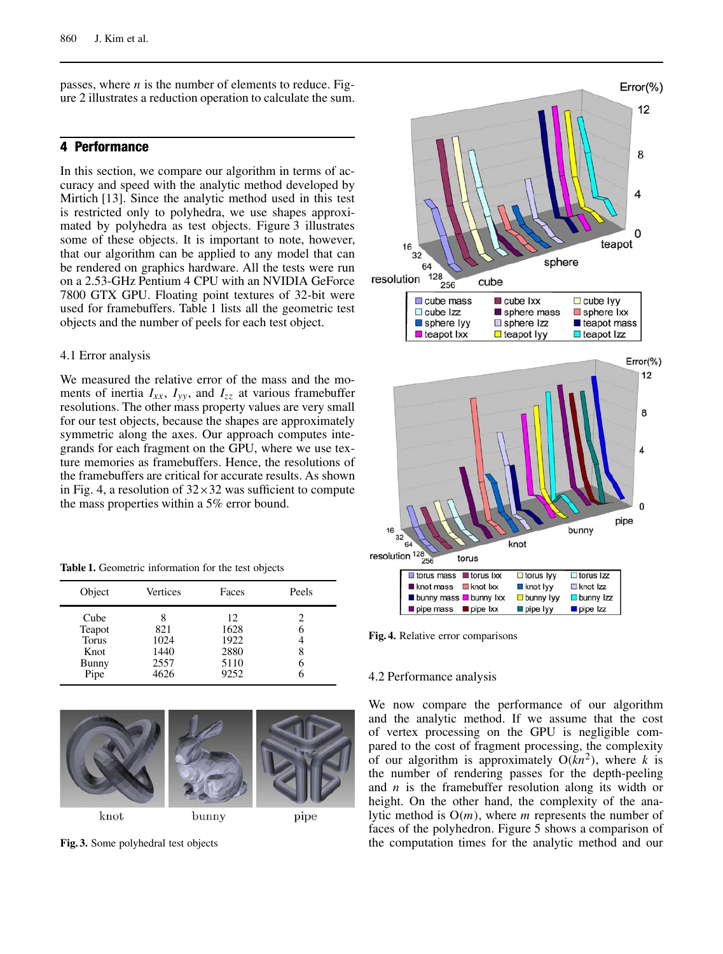passes, where *n* is the number of elements to reduce. Figure 2 illustrates a reduction operation to calculate the sum.

# **4 Performance**

In this section, we compare our algorithm in terms of accuracy and speed with the analytic method developed by Mirtich [13]. Since the analytic method used in this test is restricted only to polyhedra, we use shapes approximated by polyhedra as test objects. Figure 3 illustrates some of these objects. It is important to note, however, that our algorithm can be applied to any model that can be rendered on graphics hardware. All the tests were run on a 2.53-GHz Pentium 4 CPU with an NVIDIA GeForce 7800 GTX GPU. Floating point textures of 32-bit were used for framebuffers. Table 1 lists all the geometric test objects and the number of peels for each test object.

### 4.1 Error analysis

We measured the relative error of the mass and the moments of inertia  $I_{xx}$ ,  $I_{yy}$ , and  $I_{zz}$  at various framebuffer resolutions. The other mass property values are very small for our test objects, because the shapes are approximately symmetric along the axes. Our approach computes integrands for each fragment on the GPU, where we use texture memories as framebuffers. Hence, the resolutions of the framebuffers are critical for accurate results. As shown in Fig. 4, a resolution of  $32 \times 32$  was sufficient to compute the mass properties within a 5% error bound.

**Table 1.** Geometric information for the test objects

| Object         | Vertices | Faces      | Peels  |
|----------------|----------|------------|--------|
| Cube<br>Teapot | 821      | 12<br>1628 | 2<br>6 |
| <b>Torus</b>   | 1024     | 1922       |        |
| Knot           | 1440     | 2880       | 8      |
| Bunny          | 2557     | 5110       | 6      |
| Pipe           | 4626     | 9252       |        |



**Fig. 3.** Some polyhedral test objects



**Fig. 4.** Relative error comparisons

#### 4.2 Performance analysis

We now compare the performance of our algorithm and the analytic method. If we assume that the cost of vertex processing on the GPU is negligible compared to the cost of fragment processing, the complexity of our algorithm is approximately  $O(kn^2)$ , where *k* is the number of rendering passes for the depth-peeling and *n* is the framebuffer resolution along its width or height. On the other hand, the complexity of the analytic method is O(*m*), where *m* represents the number of faces of the polyhedron. Figure 5 shows a comparison of the computation times for the analytic method and our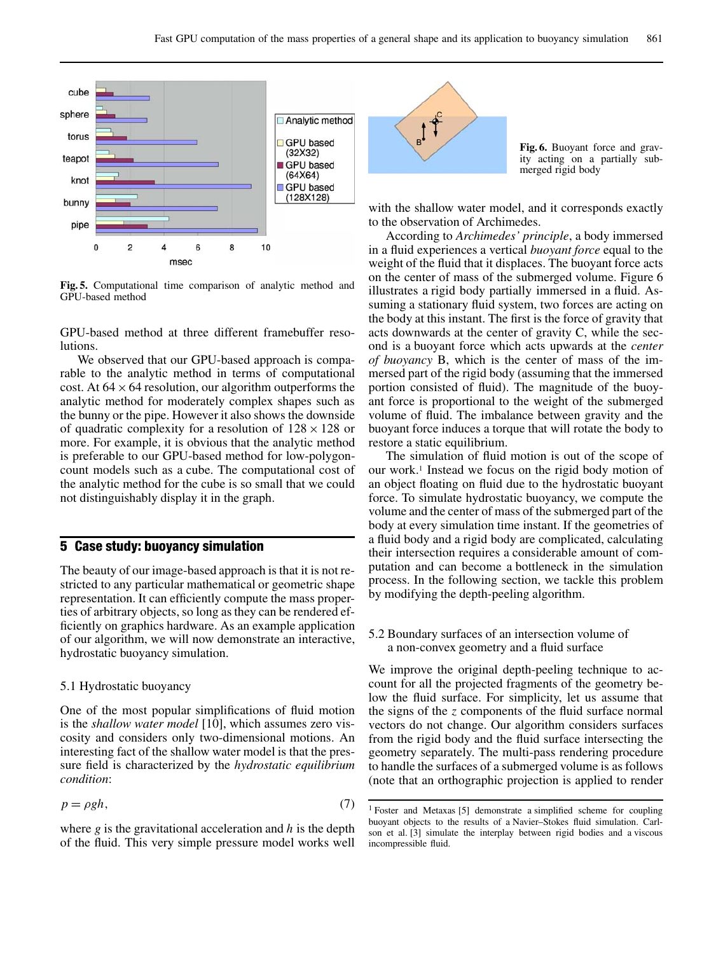

**Fig. 5.** Computational time comparison of analytic method and GPU-based method

GPU-based method at three different framebuffer resolutions.

We observed that our GPU-based approach is comparable to the analytic method in terms of computational cost. At  $64 \times 64$  resolution, our algorithm outperforms the analytic method for moderately complex shapes such as the bunny or the pipe. However it also shows the downside of quadratic complexity for a resolution of  $128 \times 128$  or more. For example, it is obvious that the analytic method is preferable to our GPU-based method for low-polygoncount models such as a cube. The computational cost of the analytic method for the cube is so small that we could not distinguishably display it in the graph.

### **5 Case study: buoyancy simulation**

The beauty of our image-based approach is that it is not restricted to any particular mathematical or geometric shape representation. It can efficiently compute the mass properties of arbitrary objects, so long as they can be rendered efficiently on graphics hardware. As an example application of our algorithm, we will now demonstrate an interactive, hydrostatic buoyancy simulation.

#### 5.1 Hydrostatic buoyancy

One of the most popular simplifications of fluid motion is the *shallow water model* [10], which assumes zero viscosity and considers only two-dimensional motions. An interesting fact of the shallow water model is that the pressure field is characterized by the *hydrostatic equilibrium condition*:

$$
p = \rho g h,\tag{7}
$$

where *g* is the gravitational acceleration and *h* is the depth of the fluid. This very simple pressure model works well



**Fig. 6.** Buoyant force and gravity acting on a partially submerged rigid body

with the shallow water model, and it corresponds exactly to the observation of Archimedes.

According to *Archimedes' principle*, a body immersed in a fluid experiences a vertical *buoyant force* equal to the weight of the fluid that it displaces. The buoyant force acts on the center of mass of the submerged volume. Figure 6 illustrates a rigid body partially immersed in a fluid. Assuming a stationary fluid system, two forces are acting on the body at this instant. The first is the force of gravity that acts downwards at the center of gravity C, while the second is a buoyant force which acts upwards at the *center of buoyancy* B, which is the center of mass of the immersed part of the rigid body (assuming that the immersed portion consisted of fluid). The magnitude of the buoyant force is proportional to the weight of the submerged volume of fluid. The imbalance between gravity and the buoyant force induces a torque that will rotate the body to restore a static equilibrium.

The simulation of fluid motion is out of the scope of our work.1 Instead we focus on the rigid body motion of an object floating on fluid due to the hydrostatic buoyant force. To simulate hydrostatic buoyancy, we compute the volume and the center of mass of the submerged part of the body at every simulation time instant. If the geometries of a fluid body and a rigid body are complicated, calculating their intersection requires a considerable amount of computation and can become a bottleneck in the simulation process. In the following section, we tackle this problem by modifying the depth-peeling algorithm.

5.2 Boundary surfaces of an intersection volume of a non-convex geometry and a fluid surface

We improve the original depth-peeling technique to account for all the projected fragments of the geometry below the fluid surface. For simplicity, let us assume that the signs of the *z* components of the fluid surface normal vectors do not change. Our algorithm considers surfaces from the rigid body and the fluid surface intersecting the geometry separately. The multi-pass rendering procedure to handle the surfaces of a submerged volume is as follows (note that an orthographic projection is applied to render

<sup>1</sup> Foster and Metaxas [5] demonstrate a simplified scheme for coupling buoyant objects to the results of a Navier–Stokes fluid simulation. Carlson et al. [3] simulate the interplay between rigid bodies and a viscous incompressible fluid.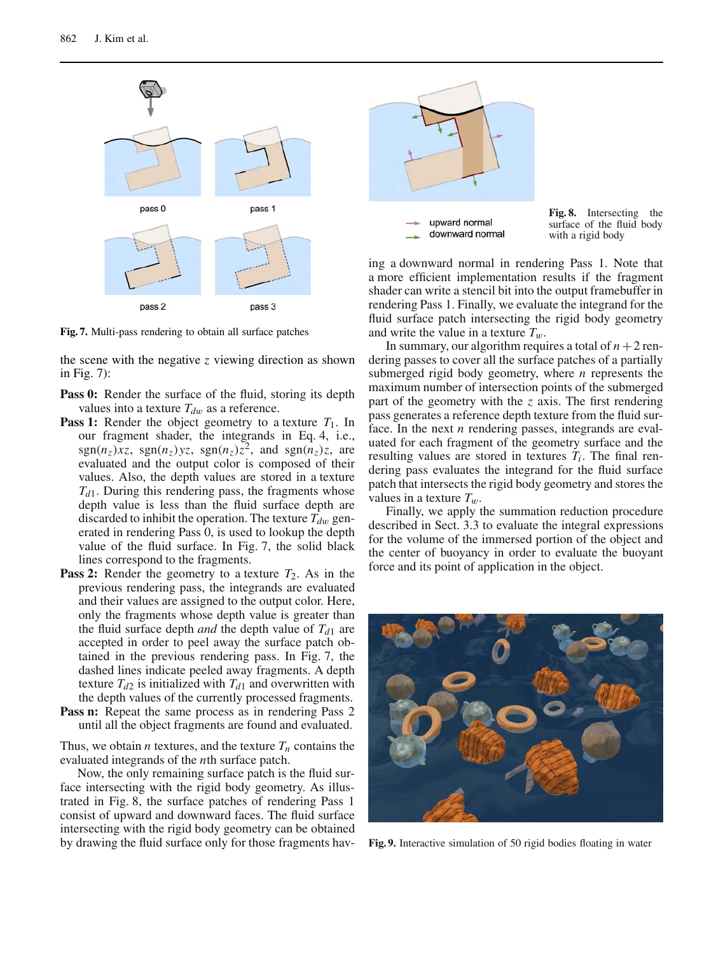

**Fig. 7.** Multi-pass rendering to obtain all surface patches

the scene with the negative *z* viewing direction as shown in Fig. 7):

- **Pass 0:** Render the surface of the fluid, storing its depth values into a texture  $T_{dw}$  as a reference.
- **Pass 1:** Render the object geometry to a texture  $T_1$ . In our fragment shader, the integrands in Eq. 4, i.e., sgn( $n_z$ )*xz*, sgn( $n_z$ )*yz*, sgn( $n_z$ )*z*<sup>2</sup>, and sgn( $n_z$ )*z*, are evaluated and the output color is composed of their values. Also, the depth values are stored in a texture *Td*1. During this rendering pass, the fragments whose depth value is less than the fluid surface depth are discarded to inhibit the operation. The texture  $T_{dw}$  generated in rendering Pass 0, is used to lookup the depth value of the fluid surface. In Fig. 7, the solid black lines correspond to the fragments.
- **Pass 2:** Render the geometry to a texture  $T_2$ . As in the previous rendering pass, the integrands are evaluated and their values are assigned to the output color. Here, only the fragments whose depth value is greater than the fluid surface depth *and* the depth value of  $T_{d1}$  are accepted in order to peel away the surface patch obtained in the previous rendering pass. In Fig. 7, the dashed lines indicate peeled away fragments. A depth texture  $T_{d2}$  is initialized with  $T_{d1}$  and overwritten with the depth values of the currently processed fragments.
- **Pass n:** Repeat the same process as in rendering Pass 2 until all the object fragments are found and evaluated.

Thus, we obtain *n* textures, and the texture  $T_n$  contains the evaluated integrands of the *n*th surface patch.

Now, the only remaining surface patch is the fluid surface intersecting with the rigid body geometry. As illustrated in Fig. 8, the surface patches of rendering Pass 1 consist of upward and downward faces. The fluid surface intersecting with the rigid body geometry can be obtained by drawing the fluid surface only for those fragments hav-



downward normal

**Fig. 8.** Intersecting the surface of the fluid body with a rigid body

ing a downward normal in rendering Pass 1. Note that a more efficient implementation results if the fragment shader can write a stencil bit into the output framebuffer in rendering Pass 1. Finally, we evaluate the integrand for the fluid surface patch intersecting the rigid body geometry and write the value in a texture  $T_w$ .

In summary, our algorithm requires a total of  $n + 2$  rendering passes to cover all the surface patches of a partially submerged rigid body geometry, where *n* represents the maximum number of intersection points of the submerged part of the geometry with the *z* axis. The first rendering pass generates a reference depth texture from the fluid surface. In the next *n* rendering passes, integrands are evaluated for each fragment of the geometry surface and the resulting values are stored in textures  $T_i$ . The final rendering pass evaluates the integrand for the fluid surface patch that intersects the rigid body geometry and stores the values in a texture  $T_w$ .

Finally, we apply the summation reduction procedure described in Sect. 3.3 to evaluate the integral expressions for the volume of the immersed portion of the object and the center of buoyancy in order to evaluate the buoyant force and its point of application in the object.



**Fig. 9.** Interactive simulation of 50 rigid bodies floating in water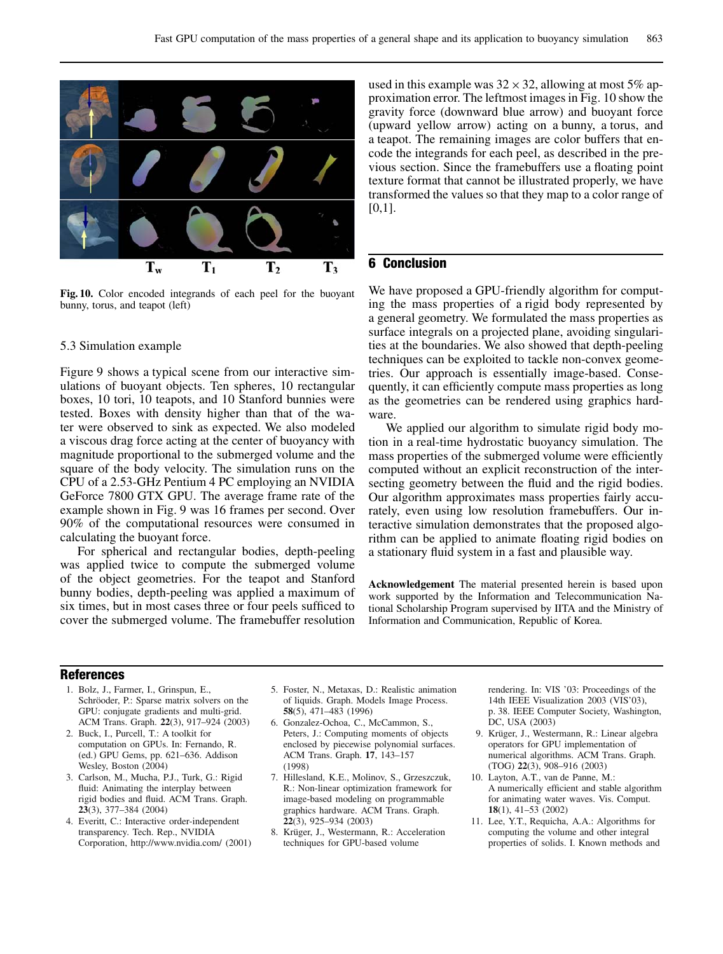

**Fig. 10.** Color encoded integrands of each peel for the buoyant bunny, torus, and teapot (left)

### 5.3 Simulation example

Figure 9 shows a typical scene from our interactive simulations of buoyant objects. Ten spheres, 10 rectangular boxes, 10 tori, 10 teapots, and 10 Stanford bunnies were tested. Boxes with density higher than that of the water were observed to sink as expected. We also modeled a viscous drag force acting at the center of buoyancy with magnitude proportional to the submerged volume and the square of the body velocity. The simulation runs on the CPU of a 2.53-GHz Pentium 4 PC employing an NVIDIA GeForce 7800 GTX GPU. The average frame rate of the example shown in Fig. 9 was 16 frames per second. Over 90% of the computational resources were consumed in calculating the buoyant force.

For spherical and rectangular bodies, depth-peeling was applied twice to compute the submerged volume of the object geometries. For the teapot and Stanford bunny bodies, depth-peeling was applied a maximum of six times, but in most cases three or four peels sufficed to cover the submerged volume. The framebuffer resolution used in this example was  $32 \times 32$ , allowing at most 5% approximation error. The leftmost images in Fig. 10 show the gravity force (downward blue arrow) and buoyant force (upward yellow arrow) acting on a bunny, a torus, and a teapot. The remaining images are color buffers that encode the integrands for each peel, as described in the previous section. Since the framebuffers use a floating point texture format that cannot be illustrated properly, we have transformed the values so that they map to a color range of [0,1].

## **6 Conclusion**

We have proposed a GPU-friendly algorithm for computing the mass properties of a rigid body represented by a general geometry. We formulated the mass properties as surface integrals on a projected plane, avoiding singularities at the boundaries. We also showed that depth-peeling techniques can be exploited to tackle non-convex geometries. Our approach is essentially image-based. Consequently, it can efficiently compute mass properties as long as the geometries can be rendered using graphics hardware.

We applied our algorithm to simulate rigid body motion in a real-time hydrostatic buoyancy simulation. The mass properties of the submerged volume were efficiently computed without an explicit reconstruction of the intersecting geometry between the fluid and the rigid bodies. Our algorithm approximates mass properties fairly accurately, even using low resolution framebuffers. Our interactive simulation demonstrates that the proposed algorithm can be applied to animate floating rigid bodies on a stationary fluid system in a fast and plausible way.

**Acknowledgement** The material presented herein is based upon work supported by the Information and Telecommunication National Scholarship Program supervised by IITA and the Ministry of Information and Communication, Republic of Korea.

### **References**

- 1. Bolz, J., Farmer, I., Grinspun, E., Schröoder, P.: Sparse matrix solvers on the GPU: conjugate gradients and multi-grid. ACM Trans. Graph. **22**(3), 917–924 (2003)
- 2. Buck, I., Purcell, T.: A toolkit for computation on GPUs. In: Fernando, R. (ed.) GPU Gems, pp. 621–636. Addison Wesley, Boston (2004)
- 3. Carlson, M., Mucha, P.J., Turk, G.: Rigid fluid: Animating the interplay between rigid bodies and fluid. ACM Trans. Graph. **23**(3), 377–384 (2004)
- 4. Everitt, C.: Interactive order-independent transparency. Tech. Rep., NVIDIA Corporation, http://www.nvidia.com/ (2001)
- 5. Foster, N., Metaxas, D.: Realistic animation of liquids. Graph. Models Image Process. **58**(5), 471–483 (1996)
- 6. Gonzalez-Ochoa, C., McCammon, S., Peters, J.: Computing moments of objects enclosed by piecewise polynomial surfaces. ACM Trans. Graph. **17**, 143–157 (1998)
- 7. Hillesland, K.E., Molinov, S., Grzeszczuk, R.: Non-linear optimization framework for image-based modeling on programmable graphics hardware. ACM Trans. Graph. **22**(3), 925–934 (2003)
- 8. Krüger, J., Westermann, R.: Acceleration techniques for GPU-based volume

rendering. In: VIS '03: Proceedings of the 14th IEEE Visualization 2003 (VIS'03), p. 38. IEEE Computer Society, Washington, DC, USA (2003)

- 9. Krüger, J., Westermann, R.: Linear algebra operators for GPU implementation of numerical algorithms. ACM Trans. Graph. (TOG) **22**(3), 908–916 (2003)
- 10. Layton, A.T., van de Panne, M.: A numerically efficient and stable algorithm for animating water waves. Vis. Comput. **18**(1), 41–53 (2002)
- 11. Lee, Y.T., Requicha, A.A.: Algorithms for computing the volume and other integral properties of solids. I. Known methods and